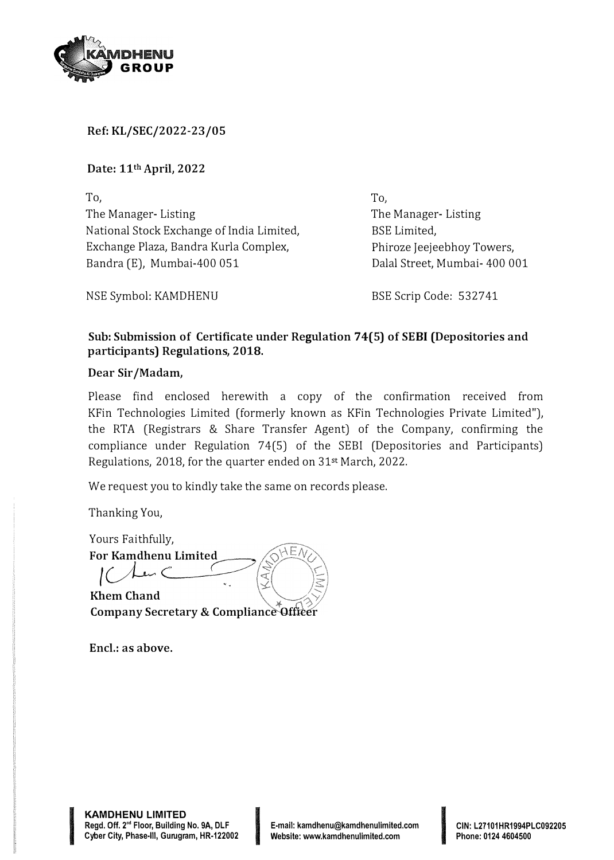

**Ref: KL/SEC/2022-23/05** 

**Date: 11th April, 2022** 

To, The Manager- Listing National Stock Exchange of India Limited, Exchange Plaza, Bandra Kurla Complex, Bandra (E), Mumbai-400 051

**To,**  The Manager- Listing BSE Limited, Phiroze Jeejeebhoy Towers, Dalal Street, Mumbai- 400 001

NSE Symbol: KAMDHENU

BSE Scrip Code: 532741

## **Sub: Submission of Certificate under Regulation 74(5) of SE BI (Depositories and participants) Regulations, 2018.**

## **Dear Sir/Madam,**

Please find enclosed herewith a copy of the confirmation received from KFin Technologies Limited (formerly known as KFin Technologies Private Limited"), the RTA (Registrars & Share Transfer Agent) of the Company, confirming the compliance under Regulation 74(5) of the SEBI (Depositories and Participants) Regulations, 2018, for the quarter ended on 31st March, 2022.

We request you to kindly take the same on records please.

Thanking You,

Yours Faithfully, **For Kamdhenu Limited**  ď

**KhemChand Company Secretary & Compliance Officer** 

Encl.: as above.

**International According to 1999** 

**CIN: L27101HR1994PLC092205 Phone: 0124 4604500**